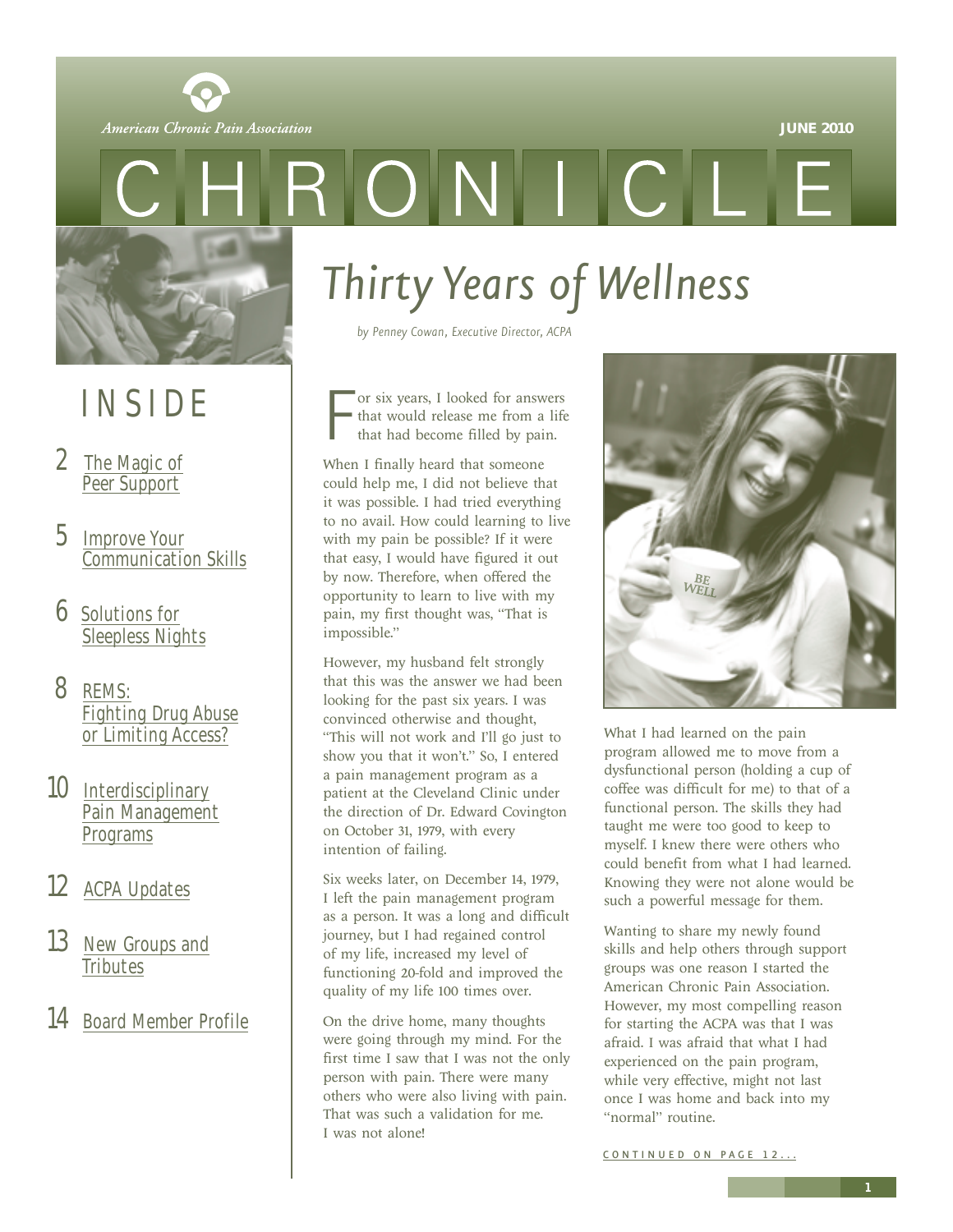

<span id="page-0-0"></span>



### INSIDE

- 2 The Magic of [Peer Support](#page-1-0)
- 5 Improve Your [Communication Skills](#page-4-0)
- 6 Solutions for [Sleepless Nights](#page-5-0)
- 8 REMS: [Fighting Drug Abuse](#page-7-0) or Limiting Access?
- 10 Interdisciplinary [Pain Management](#page-9-0) Programs
- 12 [ACPA Updates](#page-11-0)
- 13 [New Groups and](#page-12-0) **Tributes**
- 14 [Board Member Profile](#page-13-0)

*Thirty Years of Wellness*

*by Penney Cowan, Executive Director, ACPA*

F or six years, I looked for answers that would release me from a life that had become filled by pain.

When I finally heard that someone could help me, I did not believe that it was possible. I had tried everything to no avail. How could learning to live with my pain be possible? If it were that easy, I would have figured it out by now. Therefore, when offered the opportunity to learn to live with my pain, my first thought was, "That is impossible."

However, my husband felt strongly that this was the answer we had been looking for the past six years. I was convinced otherwise and thought, "This will not work and I'll go just to show you that it won't." So, I entered a pain management program as a patient at the Cleveland Clinic under the direction of Dr. Edward Covington on October 31, 1979, with every intention of failing.

Six weeks later, on December 14, 1979, I left the pain management program as a person. It was a long and difficult journey, but I had regained control of my life, increased my level of functioning 20-fold and improved the quality of my life 100 times over.

On the drive home, many thoughts were going through my mind. For the first time I saw that I was not the only person with pain. There were many others who were also living with pain. That was such a validation for me. I was not alone!



What I had learned on the pain program allowed me to move from a dysfunctional person (holding a cup of coffee was difficult for me) to that of a functional person. The skills they had taught me were too good to keep to myself. I knew there were others who could benefit from what I had learned. Knowing they were not alone would be such a powerful message for them.

Wanting to share my newly found skills and help others through support groups was one reason I started the American Chronic Pain Association. However, my most compelling reason for starting the ACPA was that I was afraid. I was afraid that what I had experienced on the pain program, while very effective, might not last once I was home and back into my "normal" routine.

CONTINUED ON PAGE 12...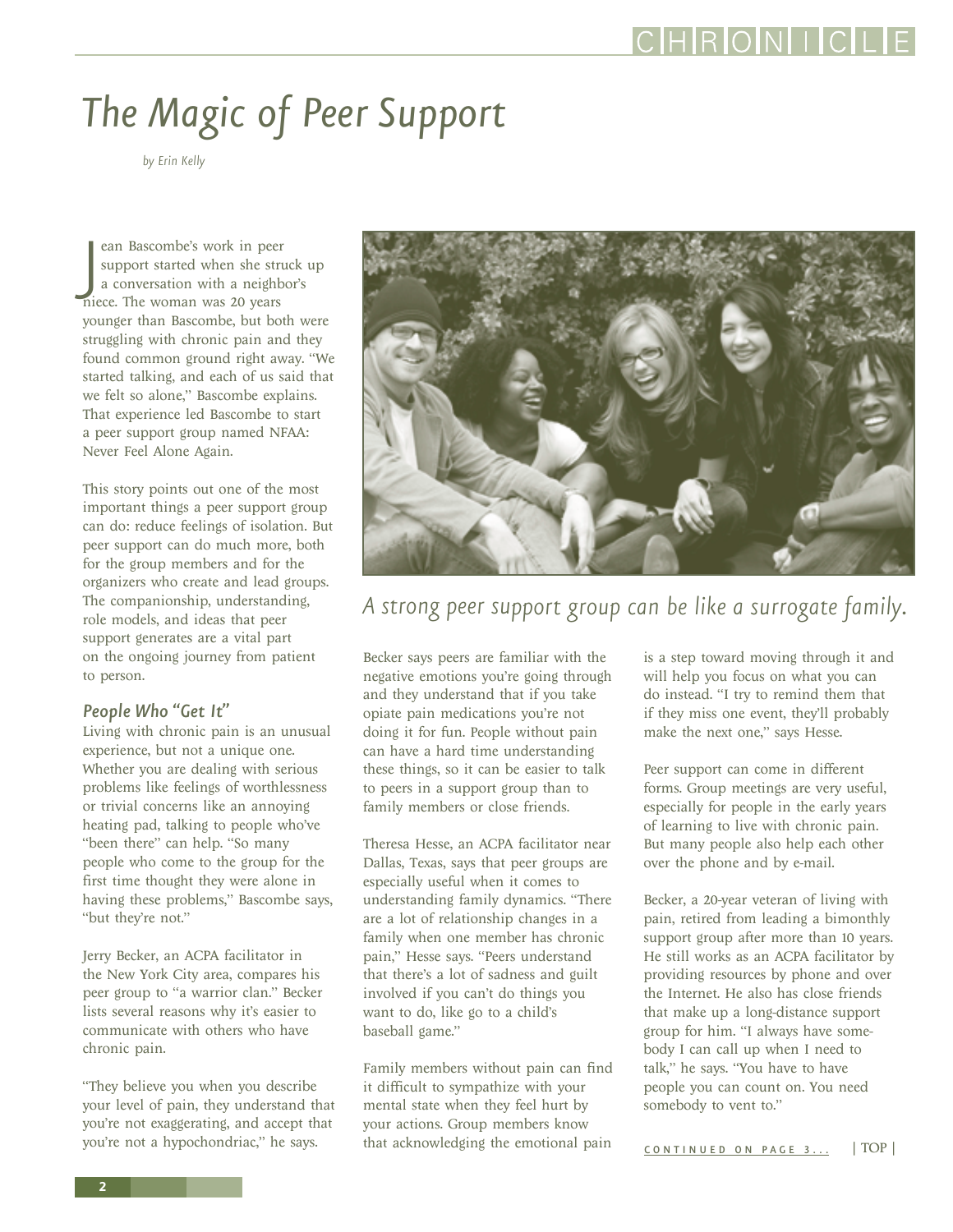# <span id="page-1-0"></span>*The Magic of Peer Support*

*by Erin Kelly*

ean Bascombe's work in peer<br>support started when she str<br>a conversation with a neight<br>niece. The woman was 20 years ean Bascombe's work in peer support started when she struck up a conversation with a neighbor's younger than Bascombe, but both were struggling with chronic pain and they found common ground right away. "We started talking, and each of us said that we felt so alone," Bascombe explains. That experience led Bascombe to start a peer support group named NFAA: Never Feel Alone Again.

This story points out one of the most important things a peer support group can do: reduce feelings of isolation. But peer support can do much more, both for the group members and for the organizers who create and lead groups. The companionship, understanding, role models, and ideas that peer support generates are a vital part on the ongoing journey from patient to person.

### *People Who "Get It"*

Living with chronic pain is an unusual experience, but not a unique one. Whether you are dealing with serious problems like feelings of worthlessness or trivial concerns like an annoying heating pad, talking to people who've "been there" can help. "So many people who come to the group for the first time thought they were alone in having these problems," Bascombe says, "but they're not."

Jerry Becker, an ACPA facilitator in the New York City area, compares his peer group to "a warrior clan." Becker lists several reasons why it's easier to communicate with others who have chronic pain.

"They believe you when you describe your level of pain, they understand that you're not exaggerating, and accept that you're not a hypochondriac," he says.



*A strong peer support group can be like a surrogate family.*

Becker says peers are familiar with the negative emotions you're going through and they understand that if you take opiate pain medications you're not doing it for fun. People without pain can have a hard time understanding these things, so it can be easier to talk to peers in a support group than to family members or close friends.

Theresa Hesse, an ACPA facilitator near Dallas, Texas, says that peer groups are especially useful when it comes to understanding family dynamics. "There are a lot of relationship changes in a family when one member has chronic pain," Hesse says. "Peers understand that there's a lot of sadness and guilt involved if you can't do things you want to do, like go to a child's baseball game."

Family members without pain can find it difficult to sympathize with your mental state when they feel hurt by your actions. Group members know that acknowledging the emotional pain

is a step toward moving through it and will help you focus on what you can do instead. "I try to remind them that if they miss one event, they'll probably make the next one," says Hesse.

Peer support can come in different forms. Group meetings are very useful, especially for people in the early years of learning to live with chronic pain. But many people also help each other over the phone and by e-mail.

Becker, a 20-year veteran of living with pain, retired from leading a bimonthly support group after more than 10 years. He still works as an ACPA facilitator by providing resources by phone and over the Internet. He also has close friends that make up a long-distance support group for him. "I always have somebody I can call up when I need to talk," he says. "You have to have people you can count on. You need somebody to vent to."

[CONTINUED ON PAGE 3...](#page-2-0) [| TOP |](#page-0-0)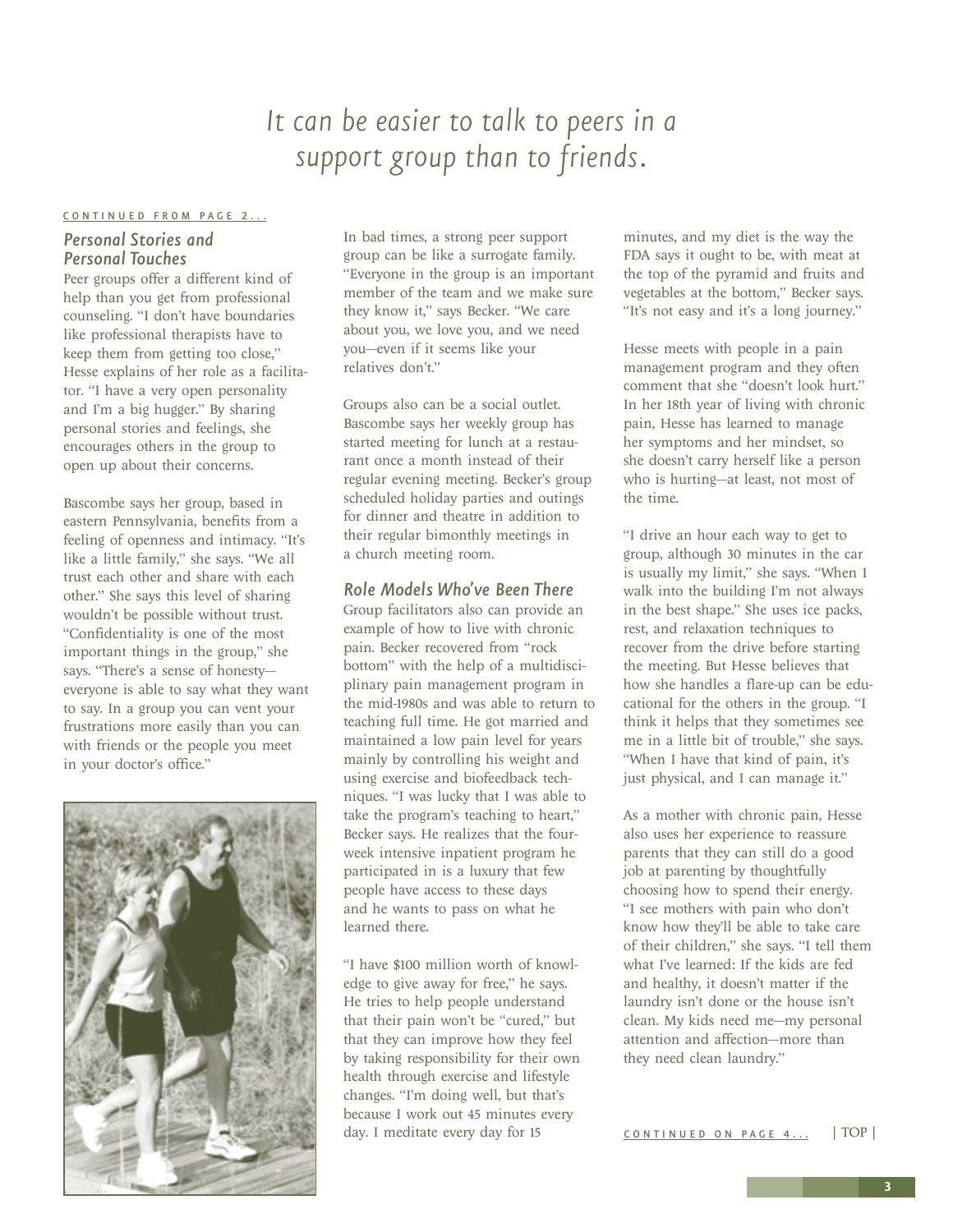### *It can be easier to talk to peers in a support group than to friends.*

#### <span id="page-2-0"></span>[CONTINUED FROM PAGE 2...](#page-1-0)

### *Personal Stories and Personal Touches*

Peer groups offer a different kind of help than you get from professional counseling. "I don't have boundaries like professional therapists have to keep them from getting too close," Hesse explains of her role as a facilitator. "I have a very open personality and I'm a big hugger." By sharing personal stories and feelings, she encourages others in the group to open up about their concerns.

Bascombe says her group, based in eastern Pennsylvania, benefits from a feeling of openness and intimacy. "It's like a little family," she says. "We all trust each other and share with each other." She says this level of sharing wouldn't be possible without trust. "Confidentiality is one of the most important things in the group," she says. "There's a sense of honesty everyone is able to say what they want to say. In a group you can vent your frustrations more easily than you can with friends or the people you meet in your doctor's office."



In bad times, a strong peer support group can be like a surrogate family. "Everyone in the group is an important member of the team and we make sure they know it," says Becker. "We care about you, we love you, and we need you—even if it seems like your relatives don't."

Groups also can be a social outlet. Bascombe says her weekly group has started meeting for lunch at a restaurant once a month instead of their regular evening meeting. Becker's group scheduled holiday parties and outings for dinner and theatre in addition to their regular bimonthly meetings in a church meeting room.

### *Role Models Who've Been There*

Group facilitators also can provide an example of how to live with chronic pain. Becker recovered from "rock bottom" with the help of a multidisciplinary pain management program in the mid-1980s and was able to return to teaching full time. He got married and maintained a low pain level for years mainly by controlling his weight and using exercise and biofeedback techniques. "I was lucky that I was able to take the program's teaching to heart," Becker says. He realizes that the fourweek intensive inpatient program he participated in is a luxury that few people have access to these days and he wants to pass on what he learned there.

"I have \$100 million worth of knowledge to give away for free," he says. He tries to help people understand that their pain won't be "cured," but that they can improve how they feel by taking responsibility for their own health through exercise and lifestyle changes. "I'm doing well, but that's because I work out 45 minutes every day. I meditate every day for 15

minutes, and my diet is the way the FDA says it ought to be, with meat at the top of the pyramid and fruits and vegetables at the bottom," Becker says. "It's not easy and it's a long journey."

Hesse meets with people in a pain management program and they often comment that she "doesn't look hurt." In her 18th year of living with chronic pain, Hesse has learned to manage her symptoms and her mindset, so she doesn't carry herself like a person who is hurting—at least, not most of the time.

"I drive an hour each way to get to group, although 30 minutes in the car is usually my limit," she says. "When I walk into the building I'm not always in the best shape." She uses ice packs, rest, and relaxation techniques to recover from the drive before starting the meeting. But Hesse believes that how she handles a flare-up can be educational for the others in the group. "I think it helps that they sometimes see me in a little bit of trouble," she says. "When I have that kind of pain, it's just physical, and I can manage it."

As a mother with chronic pain, Hesse also uses her experience to reassure parents that they can still do a good job at parenting by thoughtfully choosing how to spend their energy. "I see mothers with pain who don't know how they'll be able to take care of their children," she says. "I tell them what I've learned: If the kids are fed and healthy, it doesn't matter if the laundry isn't done or the house isn't clean. My kids need me—my personal attention and affection—more than they need clean laundry."

[CONTINUED ON PAGE 4 ...](#page-3-0) [| TOP |](#page-0-0)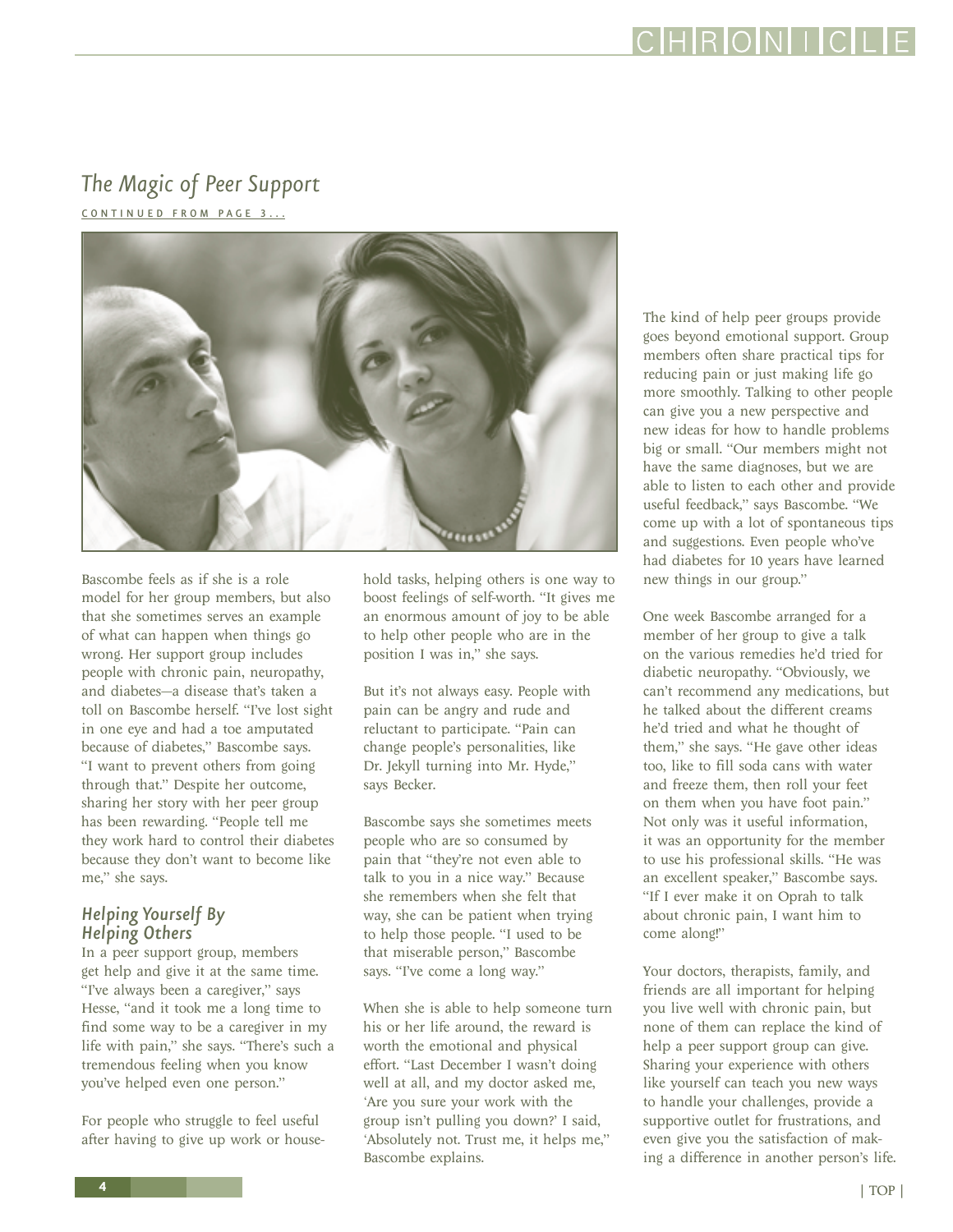<span id="page-3-0"></span>*The Magic of Peer Support*  [CONTINUED FROM PAGE 3 ...](#page-2-0)



Bascombe feels as if she is a role model for her group members, but also that she sometimes serves an example of what can happen when things go wrong. Her support group includes people with chronic pain, neuropathy, and diabetes—a disease that's taken a toll on Bascombe herself. "I've lost sight in one eye and had a toe amputated because of diabetes," Bascombe says. "I want to prevent others from going through that." Despite her outcome, sharing her story with her peer group has been rewarding. "People tell me they work hard to control their diabetes because they don't want to become like me," she says.

### *Helping Yourself By Helping Others*

In a peer support group, members get help and give it at the same time. "I've always been a caregiver," says Hesse, "and it took me a long time to find some way to be a caregiver in my life with pain," she says. "There's such a tremendous feeling when you know you've helped even one person."

For people who struggle to feel useful after having to give up work or house-

hold tasks, helping others is one way to boost feelings of self-worth. "It gives me an enormous amount of joy to be able to help other people who are in the position I was in," she says.

But it's not always easy. People with pain can be angry and rude and reluctant to participate. "Pain can change people's personalities, like Dr. Jekyll turning into Mr. Hyde," says Becker.

Bascombe says she sometimes meets people who are so consumed by pain that "they're not even able to talk to you in a nice way." Because she remembers when she felt that way, she can be patient when trying to help those people. "I used to be that miserable person," Bascombe says. "I've come a long way."

When she is able to help someone turn his or her life around, the reward is worth the emotional and physical effort. "Last December I wasn't doing well at all, and my doctor asked me, 'Are you sure your work with the group isn't pulling you down?' I said, 'Absolutely not. Trust me, it helps me," Bascombe explains.

The kind of help peer groups provide goes beyond emotional support. Group members often share practical tips for reducing pain or just making life go more smoothly. Talking to other people can give you a new perspective and new ideas for how to handle problems big or small. "Our members might not have the same diagnoses, but we are able to listen to each other and provide useful feedback," says Bascombe. "We come up with a lot of spontaneous tips and suggestions. Even people who've had diabetes for 10 years have learned new things in our group."

HRONIC

One week Bascombe arranged for a member of her group to give a talk on the various remedies he'd tried for diabetic neuropathy. "Obviously, we can't recommend any medications, but he talked about the different creams he'd tried and what he thought of them," she says. "He gave other ideas too, like to fill soda cans with water and freeze them, then roll your feet on them when you have foot pain." Not only was it useful information, it was an opportunity for the member to use his professional skills. "He was an excellent speaker," Bascombe says. "If I ever make it on Oprah to talk about chronic pain, I want him to come along!"

Your doctors, therapists, family, and friends are all important for helping you live well with chronic pain, but none of them can replace the kind of help a peer support group can give. Sharing your experience with others like yourself can teach you new ways to handle your challenges, provide a supportive outlet for frustrations, and even give you the satisfaction of making a difference in another person's life.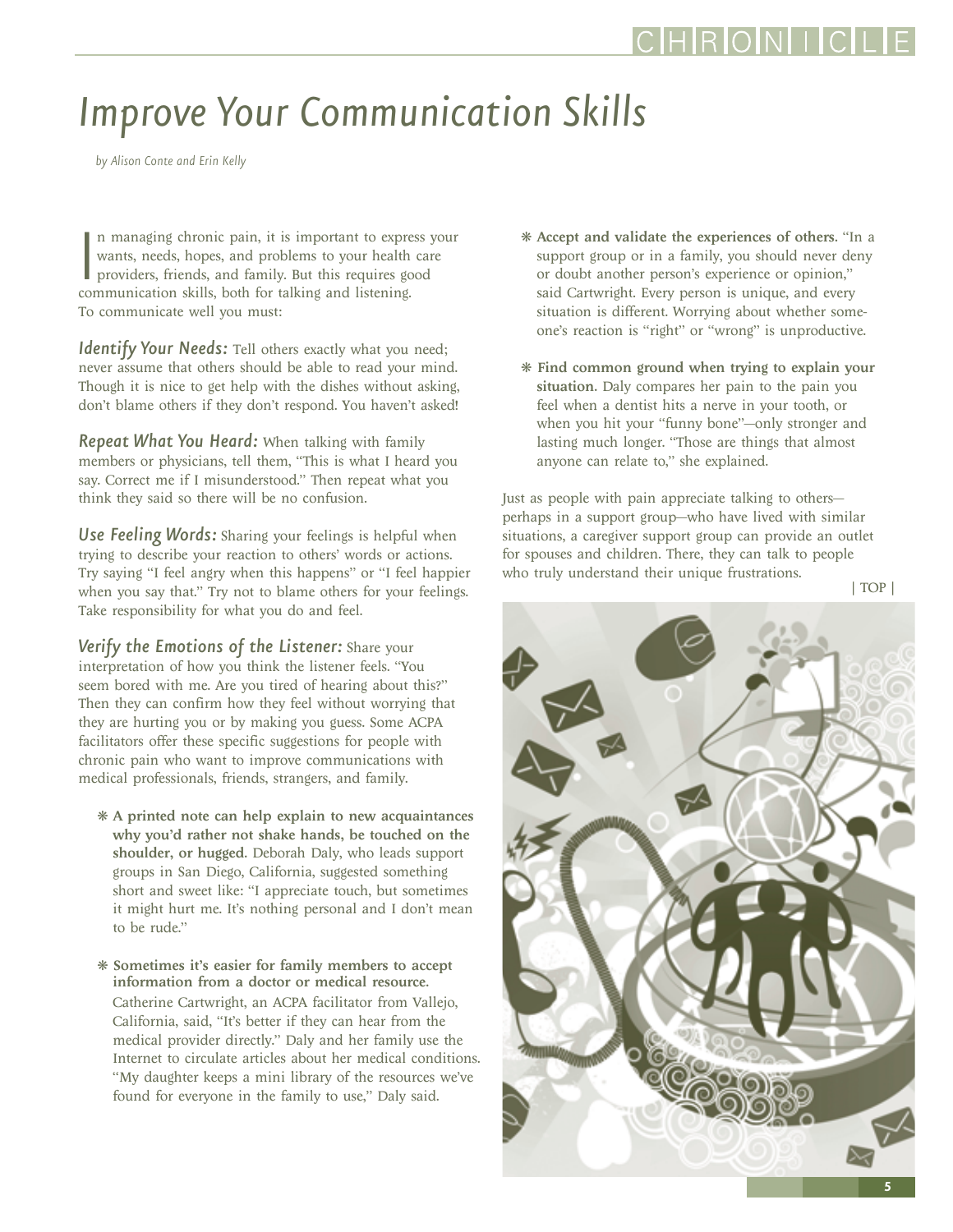## <span id="page-4-0"></span>*Improve Your Communication Skills*

*by Alison Conte and Erin Kelly*

In managing chronic pain, it is important to exprese wants, needs, hopes, and problems to your health providers, friends, and family. But this requires go communication skills, both for talking and listening. n managing chronic pain, it is important to express your wants, needs, hopes, and problems to your health care providers, friends, and family. But this requires good To communicate well you must:

**Identify Your Needs:** Tell others exactly what you need; never assume that others should be able to read your mind. Though it is nice to get help with the dishes without asking, don't blame others if they don't respond. You haven't asked!

*Repeat What You Heard:* When talking with family members or physicians, tell them, "This is what I heard you say. Correct me if I misunderstood." Then repeat what you think they said so there will be no confusion.

*Use Feeling Words:* Sharing your feelings is helpful when trying to describe your reaction to others' words or actions. Try saying "I feel angry when this happens" or "I feel happier when you say that." Try not to blame others for your feelings. Take responsibility for what you do and feel.

*Verify the Emotions of the Listener:* Share your interpretation of how you think the listener feels. "You seem bored with me. Are you tired of hearing about this?" Then they can confirm how they feel without worrying that they are hurting you or by making you guess. Some ACPA facilitators offer these specific suggestions for people with chronic pain who want to improve communications with medical professionals, friends, strangers, and family.

- ❋ A printed note can help explain to new acquaintances why you'd rather not shake hands, be touched on the shoulder, or hugged. Deborah Daly, who leads support groups in San Diego, California, suggested something short and sweet like: "I appreciate touch, but sometimes it might hurt me. It's nothing personal and I don't mean to be rude."
- ❋ Sometimes it's easier for family members to accept information from a doctor or medical resource. Catherine Cartwright, an ACPA facilitator from Vallejo, California, said, "It's better if they can hear from the medical provider directly." Daly and her family use the Internet to circulate articles about her medical conditions. "My daughter keeps a mini library of the resources we've found for everyone in the family to use," Daly said.
- ❋ Accept and validate the experiences of others. "In a support group or in a family, you should never deny or doubt another person's experience or opinion," said Cartwright. Every person is unique, and every situation is different. Worrying about whether someone's reaction is "right" or "wrong" is unproductive.
- ❋ Find common ground when trying to explain your situation. Daly compares her pain to the pain you feel when a dentist hits a nerve in your tooth, or when you hit your "funny bone"—only stronger and lasting much longer. "Those are things that almost anyone can relate to," she explained.

Just as people with pain appreciate talking to others perhaps in a support group—who have lived with similar situations, a caregiver support group can provide an outlet for spouses and children. There, they can talk to people who truly understand their unique frustrations.

[| TOP |](#page-0-0)

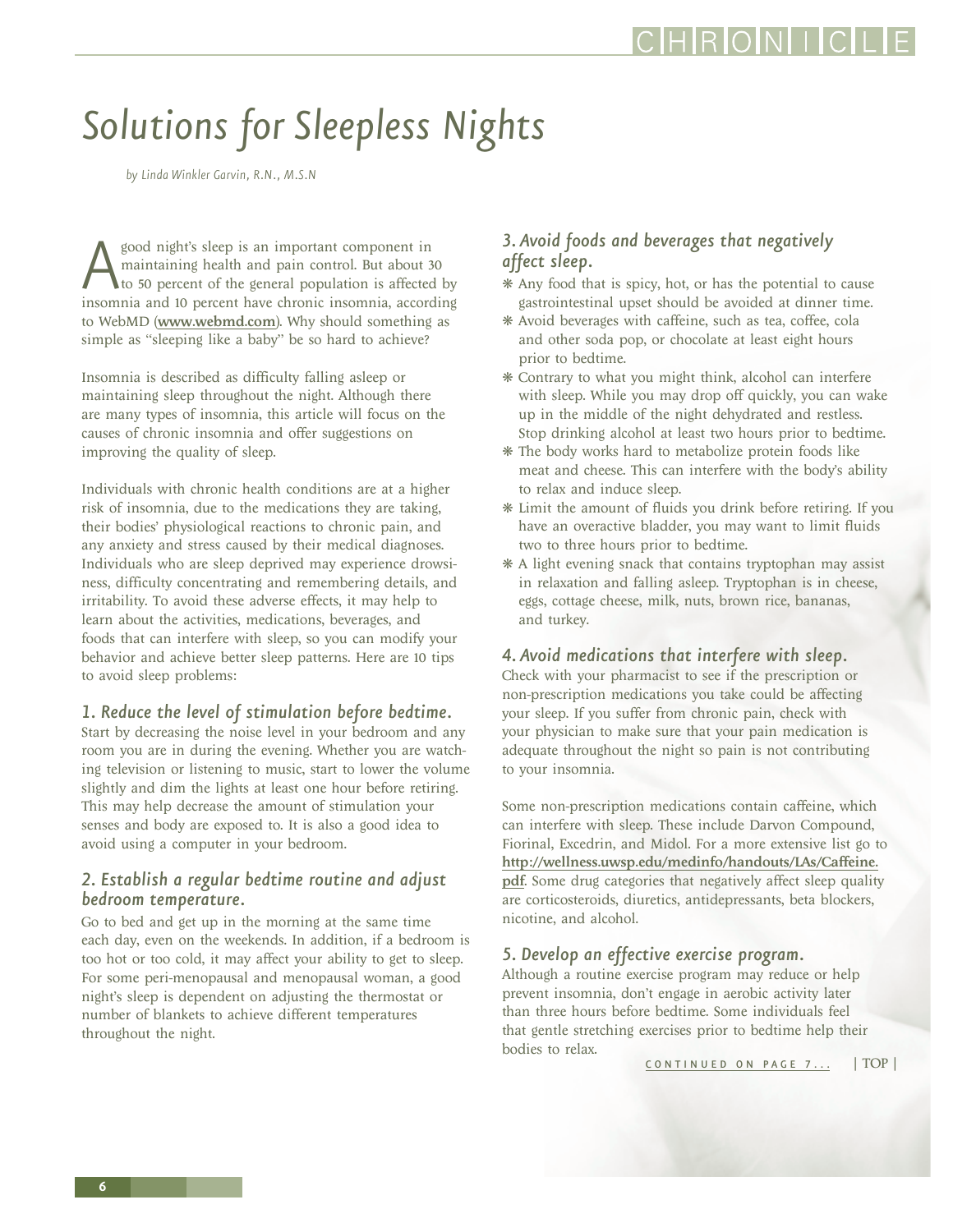### <span id="page-5-0"></span>*Solutions for Sleepless Nights*

*by Linda Winkler Garvin, R.N., M.S.N*

Sood night's sleep is an important component in<br>maintaining health and pain control. But about 3<br>to 50 percent of the general population is affected<br>insomnia and 10 percent have chronic insomnia, accord maintaining health and pain control. But about 30 to 50 percent of the general population is affected by insomnia and 10 percent have chronic insomnia, according to WebMD (<www.webmd.com>). Why should something as simple as "sleeping like a baby" be so hard to achieve?

Insomnia is described as difficulty falling asleep or maintaining sleep throughout the night. Although there are many types of insomnia, this article will focus on the causes of chronic insomnia and offer suggestions on improving the quality of sleep.

Individuals with chronic health conditions are at a higher risk of insomnia, due to the medications they are taking, their bodies' physiological reactions to chronic pain, and any anxiety and stress caused by their medical diagnoses. Individuals who are sleep deprived may experience drowsiness, difficulty concentrating and remembering details, and irritability. To avoid these adverse effects, it may help to learn about the activities, medications, beverages, and foods that can interfere with sleep, so you can modify your behavior and achieve better sleep patterns. Here are 10 tips to avoid sleep problems:

#### *1. Reduce the level of stimulation before bedtime.*

Start by decreasing the noise level in your bedroom and any room you are in during the evening. Whether you are watching television or listening to music, start to lower the volume slightly and dim the lights at least one hour before retiring. This may help decrease the amount of stimulation your senses and body are exposed to. It is also a good idea to avoid using a computer in your bedroom.

### *2. Establish a regular bedtime routine and adjust bedroom temperature.*

Go to bed and get up in the morning at the same time each day, even on the weekends. In addition, if a bedroom is too hot or too cold, it may affect your ability to get to sleep. For some peri-menopausal and menopausal woman, a good night's sleep is dependent on adjusting the thermostat or number of blankets to achieve different temperatures throughout the night.

### *3. Avoid foods and beverages that negatively affect sleep.*

- ❋ Any food that is spicy, hot, or has the potential to cause gastrointestinal upset should be avoided at dinner time.
- ❋ Avoid beverages with caffeine, such as tea, coffee, cola and other soda pop, or chocolate at least eight hours prior to bedtime.
- ❋ Contrary to what you might think, alcohol can interfere with sleep. While you may drop off quickly, you can wake up in the middle of the night dehydrated and restless. Stop drinking alcohol at least two hours prior to bedtime.
- ❋ The body works hard to metabolize protein foods like meat and cheese. This can interfere with the body's ability to relax and induce sleep.
- ❋ Limit the amount of fluids you drink before retiring. If you have an overactive bladder, you may want to limit fluids two to three hours prior to bedtime.
- ❋ A light evening snack that contains tryptophan may assist in relaxation and falling asleep. Tryptophan is in cheese, eggs, cottage cheese, milk, nuts, brown rice, bananas, and turkey.

#### *4. Avoid medications that interfere with sleep.*

Check with your pharmacist to see if the prescription or non-prescription medications you take could be affecting your sleep. If you suffer from chronic pain, check with your physician to make sure that your pain medication is adequate throughout the night so pain is not contributing to your insomnia.

Some non-prescription medications contain caffeine, which can interfere with sleep. These include Darvon Compound, Fiorinal, Excedrin, and Midol. For a more extensive list go to [http://wellness.uwsp.edu/medinfo/handouts/LAs/Caffeine.](http://wellness.uwsp.edu/medinfo/handouts/LAs/Caffeine.pdf) [pdf](http://wellness.uwsp.edu/medinfo/handouts/LAs/Caffeine.pdf). Some drug categories that negatively affect sleep quality are corticosteroids, diuretics, antidepressants, beta blockers, nicotine, and alcohol.

### *5. Develop an effective exercise program.*

Although a routine exercise program may reduce or help prevent insomnia, don't engage in aerobic activity later than three hours before bedtime. Some individuals feel that gentle stretching exercises prior to bedtime help their bodies to relax.

[CONTINUED ON PAGE 7...](#page-6-0) [| TOP |](#page-0-0)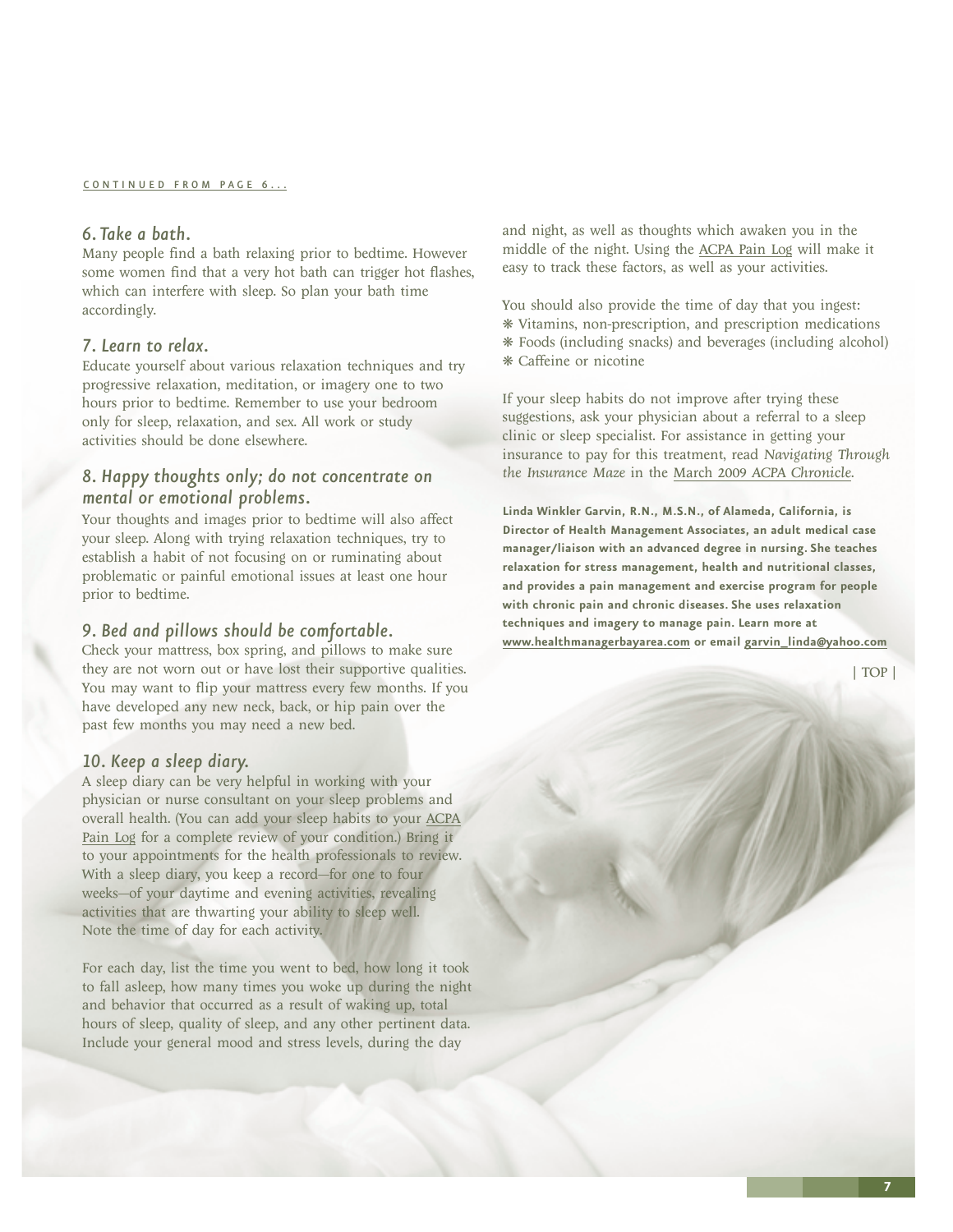### <span id="page-6-0"></span>*6. Take a bath.*

Many people find a bath relaxing prior to bedtime. However some women find that a very hot bath can trigger hot flashes, which can interfere with sleep. So plan your bath time accordingly.

### *7. Learn to relax.*

Educate yourself about various relaxation techniques and try progressive relaxation, meditation, or imagery one to two hours prior to bedtime. Remember to use your bedroom only for sleep, relaxation, and sex. All work or study activities should be done elsewhere.

### *8. Happy thoughts only; do not concentrate on mental or emotional problems.*

Your thoughts and images prior to bedtime will also affect your sleep. Along with trying relaxation techniques, try to establish a habit of not focusing on or ruminating about problematic or painful emotional issues at least one hour prior to bedtime.

#### *9. Bed and pillows should be comfortable.*

Check your mattress, box spring, and pillows to make sure they are not worn out or have lost their supportive qualities. You may want to flip your mattress every few months. If you have developed any new neck, back, or hip pain over the past few months you may need a new bed.

#### *10. Keep a sleep diary.*

A sleep diary can be very helpful in working with your physician or nurse consultant on your sleep problems and overall health. (You can add your sleep habits to your [ACPA](http://www.theacpa.org/25/CommunicationTools.aspx) [Pain Log](http://www.theacpa.org/25/CommunicationTools.aspx) for a complete review of your condition.) Bring it to your appointments for the health professionals to review. With a sleep diary, you keep a record—for one to four weeks—of your daytime and evening activities, revealing activities that are thwarting your ability to sleep well. Note the time of day for each activity.

For each day, list the time you went to bed, how long it took to fall asleep, how many times you woke up during the night and behavior that occurred as a result of waking up, total hours of sleep, quality of sleep, and any other pertinent data. Include your general mood and stress levels, during the day

and night, as well as thoughts which awaken you in the middle of the night. Using the [ACPA Pain Log](http://www.theacpa.org/25/CommunicationTools.aspx) will make it easy to track these factors, as well as your activities.

You should also provide the time of day that you ingest: ❋ Vitamins, non-prescription, and prescription medications ❋ Foods (including snacks) and beverages (including alcohol) ❋ Caffeine or nicotine

If your sleep habits do not improve after trying these suggestions, ask your physician about a referral to a sleep clinic or sleep specialist. For assistance in getting your insurance to pay for this treatment, read *Navigating Through the Insurance Maze* in the March 2009 *[ACPA Chronicle](http://www.theacpa.org/uploads/documents/chronicle_spring_09.pdf)*.

**Linda Winkler Garvin, R.N., M.S.N., of Alameda, California, is Director of Health Management Associates, an adult medical case manager/liaison with an advanced degree in nursing. She teaches relaxation for stress management, health and nutritional classes, and provides a pain management and exercise program for people with chronic pain and chronic diseases. She uses relaxation techniques and imagery to manage pain. Learn more at <www.healthmanagerbayarea.com> or email [garvin\\_linda@yahoo.com](mailto:garvin_linda@yahoo.com)**

[| TOP |](#page-0-0)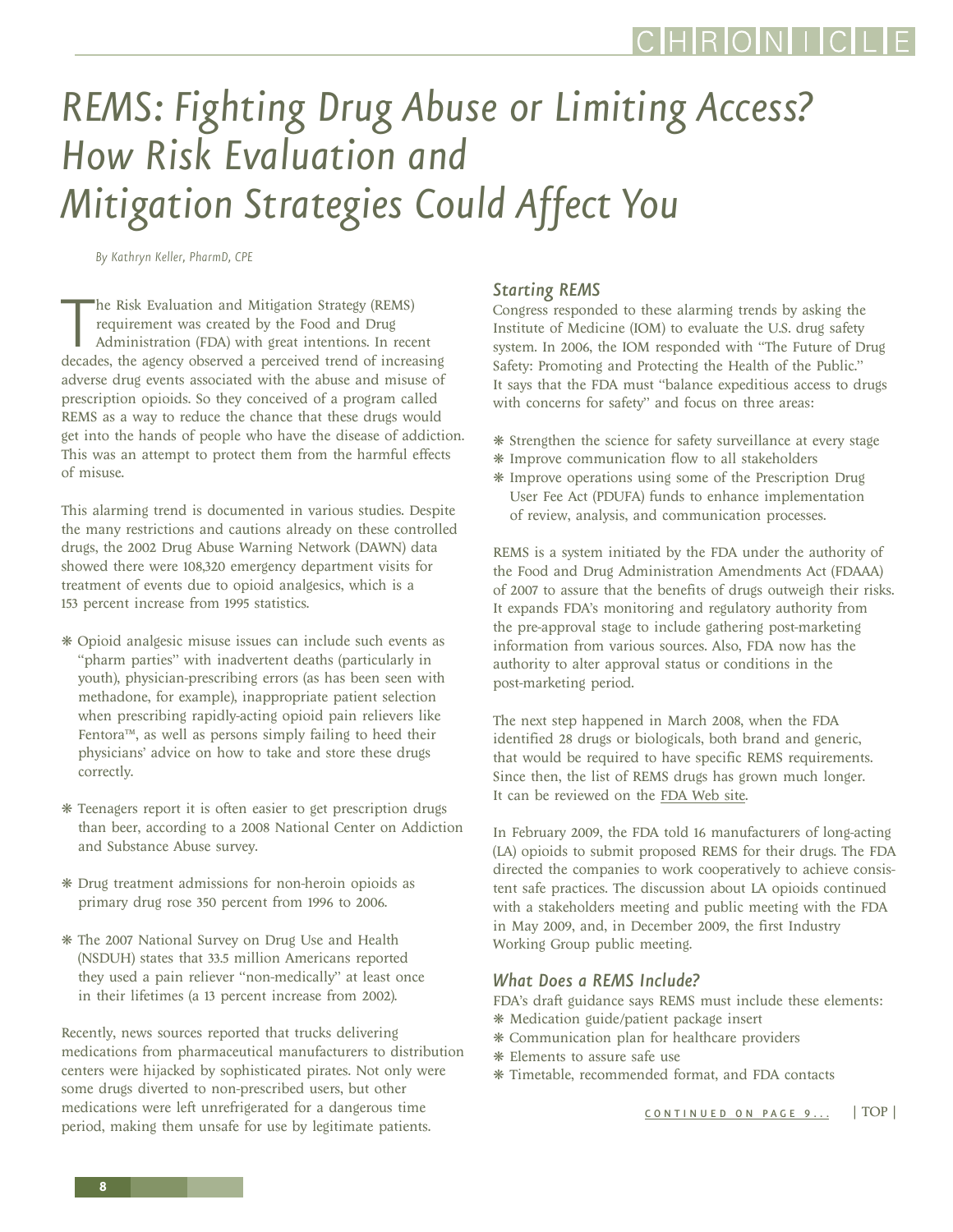# <span id="page-7-0"></span>*REMS: Fighting Drug Abuse or Limiting Access? How Risk Evaluation and Mitigation Strategies Could Affect You*

*By Kathryn Keller, PharmD, CPE*

The Risk Evaluation and Mitigation Strategy (REMS)<br>requirement was created by the Food and Drug<br>Administration (FDA) with great intentions. In recent<br>decades, the agency observed a perceived trend of increasing he Risk Evaluation and Mitigation Strategy (REMS) requirement was created by the Food and Drug Administration (FDA) with great intentions. In recent adverse drug events associated with the abuse and misuse of prescription opioids. So they conceived of a program called REMS as a way to reduce the chance that these drugs would get into the hands of people who have the disease of addiction. This was an attempt to protect them from the harmful effects of misuse.

This alarming trend is documented in various studies. Despite the many restrictions and cautions already on these controlled drugs, the 2002 Drug Abuse Warning Network (DAWN) data showed there were 108,320 emergency department visits for treatment of events due to opioid analgesics, which is a 153 percent increase from 1995 statistics.

- ❋ Opioid analgesic misuse issues can include such events as "pharm parties" with inadvertent deaths (particularly in youth), physician-prescribing errors (as has been seen with methadone, for example), inappropriate patient selection when prescribing rapidly-acting opioid pain relievers like Fentora™, as well as persons simply failing to heed their physicians' advice on how to take and store these drugs correctly.
- ❋ Teenagers report it is often easier to get prescription drugs than beer, according to a 2008 National Center on Addiction and Substance Abuse survey.
- ❋ Drug treatment admissions for non-heroin opioids as primary drug rose 350 percent from 1996 to 2006.
- ❋ The 2007 National Survey on Drug Use and Health (NSDUH) states that 33.5 million Americans reported they used a pain reliever "non-medically" at least once in their lifetimes (a 13 percent increase from 2002).

Recently, news sources reported that trucks delivering medications from pharmaceutical manufacturers to distribution centers were hijacked by sophisticated pirates. Not only were some drugs diverted to non-prescribed users, but other medications were left unrefrigerated for a dangerous time period, making them unsafe for use by legitimate patients.

### *Starting REMS*

Congress responded to these alarming trends by asking the Institute of Medicine (IOM) to evaluate the U.S. drug safety system. In 2006, the IOM responded with "The Future of Drug Safety: Promoting and Protecting the Health of the Public." It says that the FDA must "balance expeditious access to drugs with concerns for safety" and focus on three areas:

- ❋ Strengthen the science for safety surveillance at every stage
- ❋ Improve communication flow to all stakeholders
- ❋ Improve operations using some of the Prescription Drug User Fee Act (PDUFA) funds to enhance implementation of review, analysis, and communication processes.

REMS is a system initiated by the FDA under the authority of the Food and Drug Administration Amendments Act (FDAAA) of 2007 to assure that the benefits of drugs outweigh their risks. It expands FDA's monitoring and regulatory authority from the pre-approval stage to include gathering post-marketing information from various sources. Also, FDA now has the authority to alter approval status or conditions in the post-marketing period.

The next step happened in March 2008, when the FDA identified 28 drugs or biologicals, both brand and generic, that would be required to have specific REMS requirements. Since then, the list of REMS drugs has grown much longer. It can be reviewed on the [FDA Web site.](http://www.fda.gov/Drugs/DrugSafety/PostmarketDrugSafetyInformationforPatientsandProviders/ucm111350.htm)

In February 2009, the FDA told 16 manufacturers of long-acting (LA) opioids to submit proposed REMS for their drugs. The FDA directed the companies to work cooperatively to achieve consistent safe practices. The discussion about LA opioids continued with a stakeholders meeting and public meeting with the FDA in May 2009, and, in December 2009, the first Industry Working Group public meeting.

#### *What Does a REMS Include?*

FDA's draft guidance says REMS must include these elements: ❋ Medication guide/patient package insert

- ❋ Communication plan for healthcare providers
- ❋ Elements to assure safe use
- ❋ Timetable, recommended format, and FDA contacts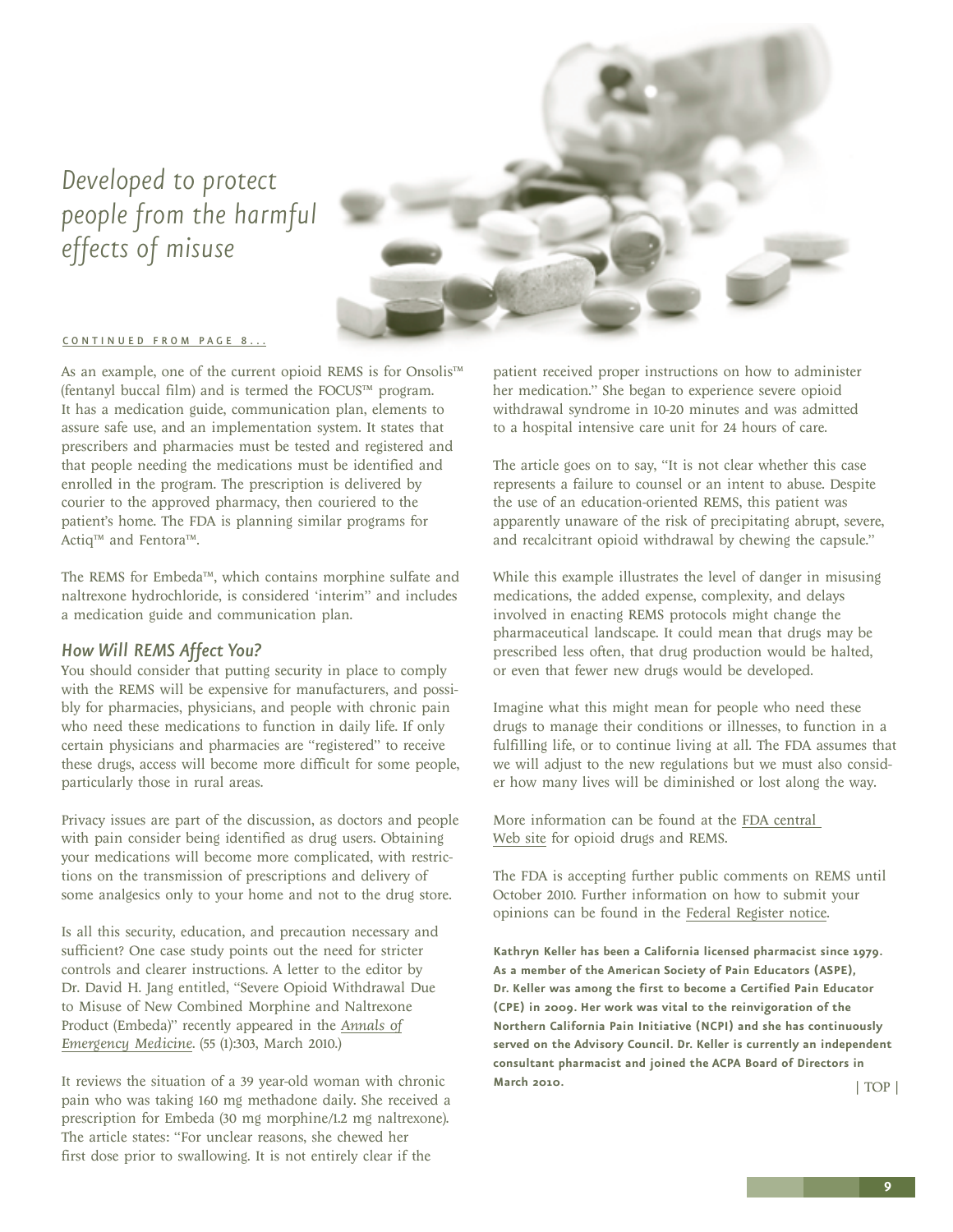### <span id="page-8-0"></span>*Developed to protect people from the harmful effects of misuse*



#### [CONTINUED FROM PAGE 8...](#page-7-0)

As an example, one of the current opioid REMS is for Onsolis™ (fentanyl buccal film) and is termed the FOCUS™ program. It has a medication guide, communication plan, elements to assure safe use, and an implementation system. It states that prescribers and pharmacies must be tested and registered and that people needing the medications must be identified and enrolled in the program. The prescription is delivered by courier to the approved pharmacy, then couriered to the patient's home. The FDA is planning similar programs for Actiq™ and Fentora™.

The REMS for Embeda™, which contains morphine sulfate and naltrexone hydrochloride, is considered 'interim" and includes a medication guide and communication plan.

### *How Will REMS Affect You?*

You should consider that putting security in place to comply with the REMS will be expensive for manufacturers, and possibly for pharmacies, physicians, and people with chronic pain who need these medications to function in daily life. If only certain physicians and pharmacies are "registered" to receive these drugs, access will become more difficult for some people, particularly those in rural areas.

Privacy issues are part of the discussion, as doctors and people with pain consider being identified as drug users. Obtaining your medications will become more complicated, with restrictions on the transmission of prescriptions and delivery of some analgesics only to your home and not to the drug store.

Is all this security, education, and precaution necessary and sufficient? One case study points out the need for stricter controls and clearer instructions. A letter to the editor by Dr. David H. Jang entitled, "Severe Opioid Withdrawal Due to Misuse of New Combined Morphine and Naltrexone Product (Embeda)" recently appeared in the *[Annals of](http://www.annemergmed.com/article/S0196-0644(09)01703-X/fulltext) [Emergency Medicine](http://www.annemergmed.com/article/S0196-0644(09)01703-X/fulltext)*. (55 (1):303, March 2010.)

It reviews the situation of a 39 year-old woman with chronic pain who was taking 160 mg methadone daily. She received a prescription for Embeda (30 mg morphine/1.2 mg naltrexone). The article states: "For unclear reasons, she chewed her first dose prior to swallowing. It is not entirely clear if the

patient received proper instructions on how to administer her medication." She began to experience severe opioid withdrawal syndrome in 10-20 minutes and was admitted to a hospital intensive care unit for 24 hours of care.

The article goes on to say, "It is not clear whether this case represents a failure to counsel or an intent to abuse. Despite the use of an education-oriented REMS, this patient was apparently unaware of the risk of precipitating abrupt, severe, and recalcitrant opioid withdrawal by chewing the capsule."

While this example illustrates the level of danger in misusing medications, the added expense, complexity, and delays involved in enacting REMS protocols might change the pharmaceutical landscape. It could mean that drugs may be prescribed less often, that drug production would be halted, or even that fewer new drugs would be developed.

Imagine what this might mean for people who need these drugs to manage their conditions or illnesses, to function in a fulfilling life, or to continue living at all. The FDA assumes that we will adjust to the new regulations but we must also consider how many lives will be diminished or lost along the way.

More information can be found at the [FDA central](http://www.fda.gov/Drugs/DrugSafety/InformationbyDrugClass/ucm163647.htm)  [Web site](http://www.fda.gov/Drugs/DrugSafety/InformationbyDrugClass/ucm163647.htm) for opioid drugs and REMS.

The FDA is accepting further public comments on REMS until October 2010. Further information on how to submit your opinions can be found in the [Federal Register notice](http://frwebgate.access.gpo.gov/cgi-bin/getdoc.cgi?dbname=2009_register&docid=fr19oc09-67.pdf).

**Kathryn Keller has been a California licensed pharmacist since 1979. As a member of the American Society of Pain Educators (ASPE), Dr. Keller was among the first to become a Certified Pain Educator (CPE) in 2009. Her work was vital to the reinvigoration of the Northern California Pain Initiative (NCPI) and she has continuously served on the Advisory Council. Dr. Keller is currently an independent consultant pharmacist and joined the ACPA Board of Directors in March 2010.** [| TOP |](#page-0-0)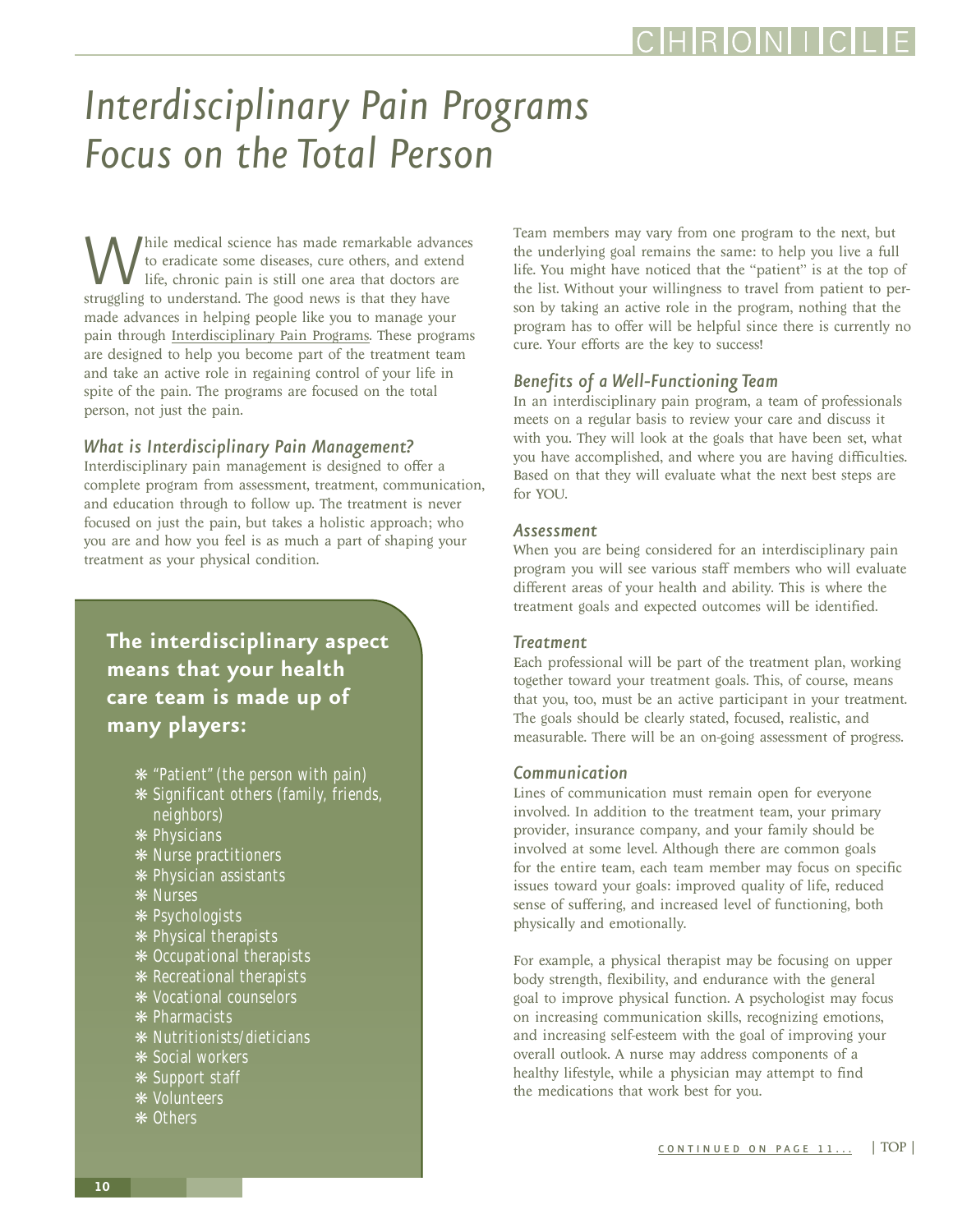## <span id="page-9-0"></span>*Interdisciplinary Pain Programs Focus on the Total Person*

While medical science has made remarkable advances<br>to eradicate some diseases, cure others, and extend<br>life, chronic pain is still one area that doctors are<br>struggling to understand. The good news is that they have to eradicate some diseases, cure others, and extend life, chronic pain is still one area that doctors are made advances in helping people like you to manage your pain through [Interdisciplinary Pain Programs.](http://www.theacpa.org/26/PainManagementPrograms.aspx) These programs are designed to help you become part of the treatment team and take an active role in regaining control of your life in spite of the pain. The programs are focused on the total person, not just the pain.

### *What is Interdisciplinary Pain Management?*

Interdisciplinary pain management is designed to offer a complete program from assessment, treatment, communication, and education through to follow up. The treatment is never focused on just the pain, but takes a holistic approach; who you are and how you feel is as much a part of shaping your treatment as your physical condition.

**The interdisciplinary aspect means that your health care team is made up of many players:**

- ❋ "Patient" (the person with pain)
- ❋ Significant others (family, friends, neighbors)
- ❋ Physicians
- ❋ Nurse practitioners
- ❋ Physician assistants
- ❋ Nurses
- ❋ Psychologists
- 
- ❋ Physical therapists
- ❋ Occupational therapists
- ❋ Recreational therapists
- ❋ Vocational counselors
- ❋ Pharmacists
- ❋ Nutritionists/dieticians
- ❋ Social workers
- ❋ Support staff
- ❋ Volunteers
- ❋ Others

Team members may vary from one program to the next, but the underlying goal remains the same: to help you live a full life. You might have noticed that the "patient" is at the top of the list. Without your willingness to travel from patient to person by taking an active role in the program, nothing that the program has to offer will be helpful since there is currently no cure. Your efforts are the key to success!

### *Benefits of a Well-Functioning Team*

In an interdisciplinary pain program, a team of professionals meets on a regular basis to review your care and discuss it with you. They will look at the goals that have been set, what you have accomplished, and where you are having difficulties. Based on that they will evaluate what the next best steps are for YOU.

### *Assessment*

When you are being considered for an interdisciplinary pain program you will see various staff members who will evaluate different areas of your health and ability. This is where the treatment goals and expected outcomes will be identified.

### *Treatment*

Each professional will be part of the treatment plan, working together toward your treatment goals. This, of course, means that you, too, must be an active participant in your treatment. The goals should be clearly stated, focused, realistic, and measurable. There will be an on-going assessment of progress.

### *Communication*

Lines of communication must remain open for everyone involved. In addition to the treatment team, your primary provider, insurance company, and your family should be involved at some level. Although there are common goals for the entire team, each team member may focus on specific issues toward your goals: improved quality of life, reduced sense of suffering, and increased level of functioning, both physically and emotionally.

For example, a physical therapist may be focusing on upper body strength, flexibility, and endurance with the general goal to improve physical function. A psychologist may focus on increasing communication skills, recognizing emotions, and increasing self-esteem with the goal of improving your overall outlook. A nurse may address components of a healthy lifestyle, while a physician may attempt to find the medications that work best for you.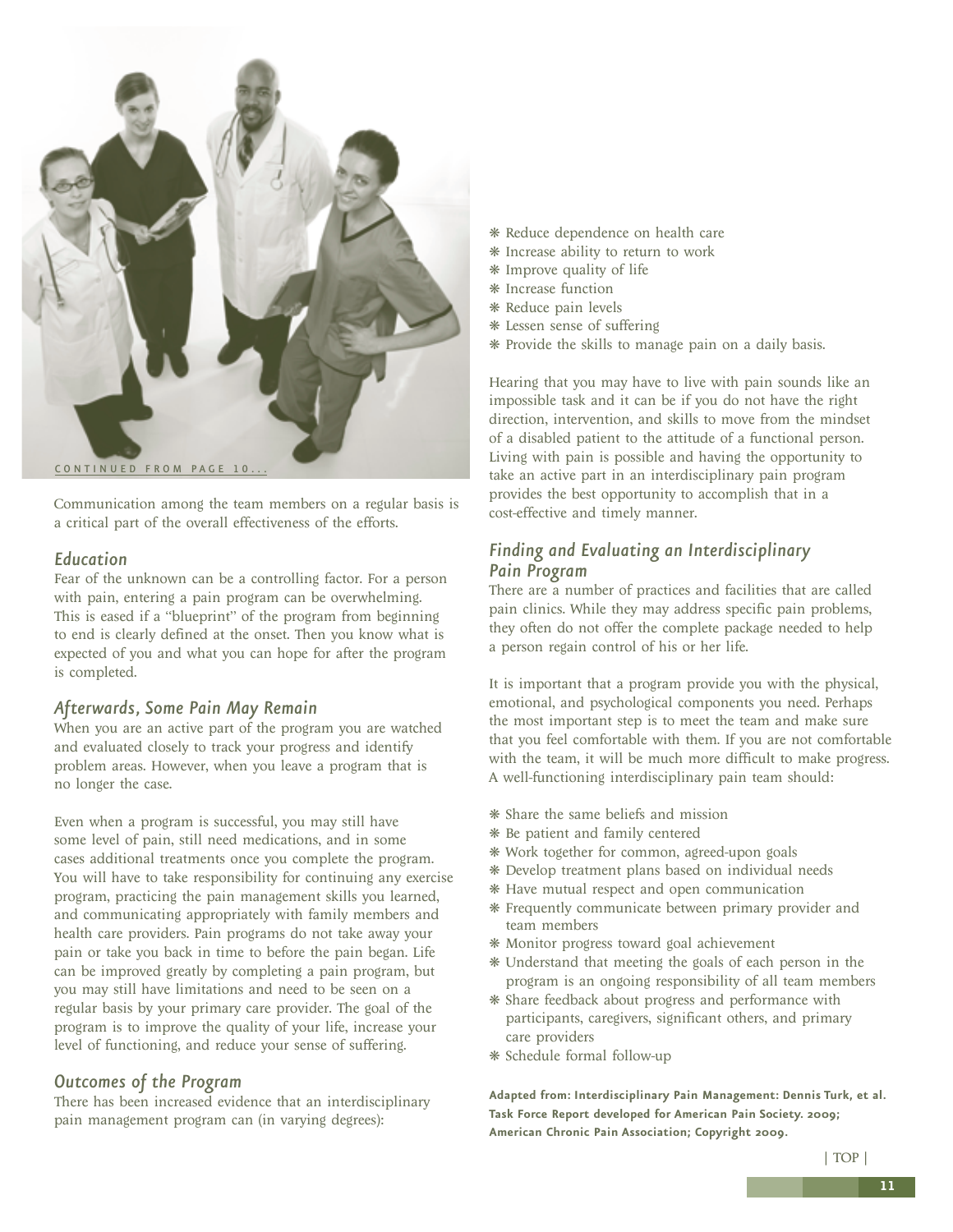<span id="page-10-0"></span>

Communication among the team members on a regular basis is a critical part of the overall effectiveness of the efforts.

### *Education*

Fear of the unknown can be a controlling factor. For a person with pain, entering a pain program can be overwhelming. This is eased if a "blueprint" of the program from beginning to end is clearly defined at the onset. Then you know what is expected of you and what you can hope for after the program is completed.

### *Afterwards, Some Pain May Remain*

When you are an active part of the program you are watched and evaluated closely to track your progress and identify problem areas. However, when you leave a program that is no longer the case.

Even when a program is successful, you may still have some level of pain, still need medications, and in some cases additional treatments once you complete the program. You will have to take responsibility for continuing any exercise program, practicing the pain management skills you learned, and communicating appropriately with family members and health care providers. Pain programs do not take away your pain or take you back in time to before the pain began. Life can be improved greatly by completing a pain program, but you may still have limitations and need to be seen on a regular basis by your primary care provider. The goal of the program is to improve the quality of your life, increase your level of functioning, and reduce your sense of suffering.

### *Outcomes of the Program*

There has been increased evidence that an interdisciplinary pain management program can (in varying degrees):

- ❋ Reduce dependence on health care
- ❋ Increase ability to return to work
- ❋ Improve quality of life
- ❋ Increase function
- ❋ Reduce pain levels
- ❋ Lessen sense of suffering
- ❋ Provide the skills to manage pain on a daily basis.

Hearing that you may have to live with pain sounds like an impossible task and it can be if you do not have the right direction, intervention, and skills to move from the mindset of a disabled patient to the attitude of a functional person. Living with pain is possible and having the opportunity to take an active part in an interdisciplinary pain program provides the best opportunity to accomplish that in a cost-effective and timely manner.

### *Finding and Evaluating an Interdisciplinary Pain Program*

There are a number of practices and facilities that are called pain clinics. While they may address specific pain problems, they often do not offer the complete package needed to help a person regain control of his or her life.

It is important that a program provide you with the physical, emotional, and psychological components you need. Perhaps the most important step is to meet the team and make sure that you feel comfortable with them. If you are not comfortable with the team, it will be much more difficult to make progress. A well-functioning interdisciplinary pain team should:

- ❋ Share the same beliefs and mission
- ❋ Be patient and family centered
- ❋ Work together for common, agreed-upon goals
- ❋ Develop treatment plans based on individual needs
- ❋ Have mutual respect and open communication
- ❋ Frequently communicate between primary provider and team members
- ❋ Monitor progress toward goal achievement
- ❋ Understand that meeting the goals of each person in the program is an ongoing responsibility of all team members
- ❋ Share feedback about progress and performance with participants, caregivers, significant others, and primary care providers
- ❋ Schedule formal follow-up

**Adapted from: Interdisciplinary Pain Management: Dennis Turk, et al. Task Force Report developed for American Pain Society. 2009; American Chronic Pain Association; Copyright 2009.**

[| TOP |](#page-0-0)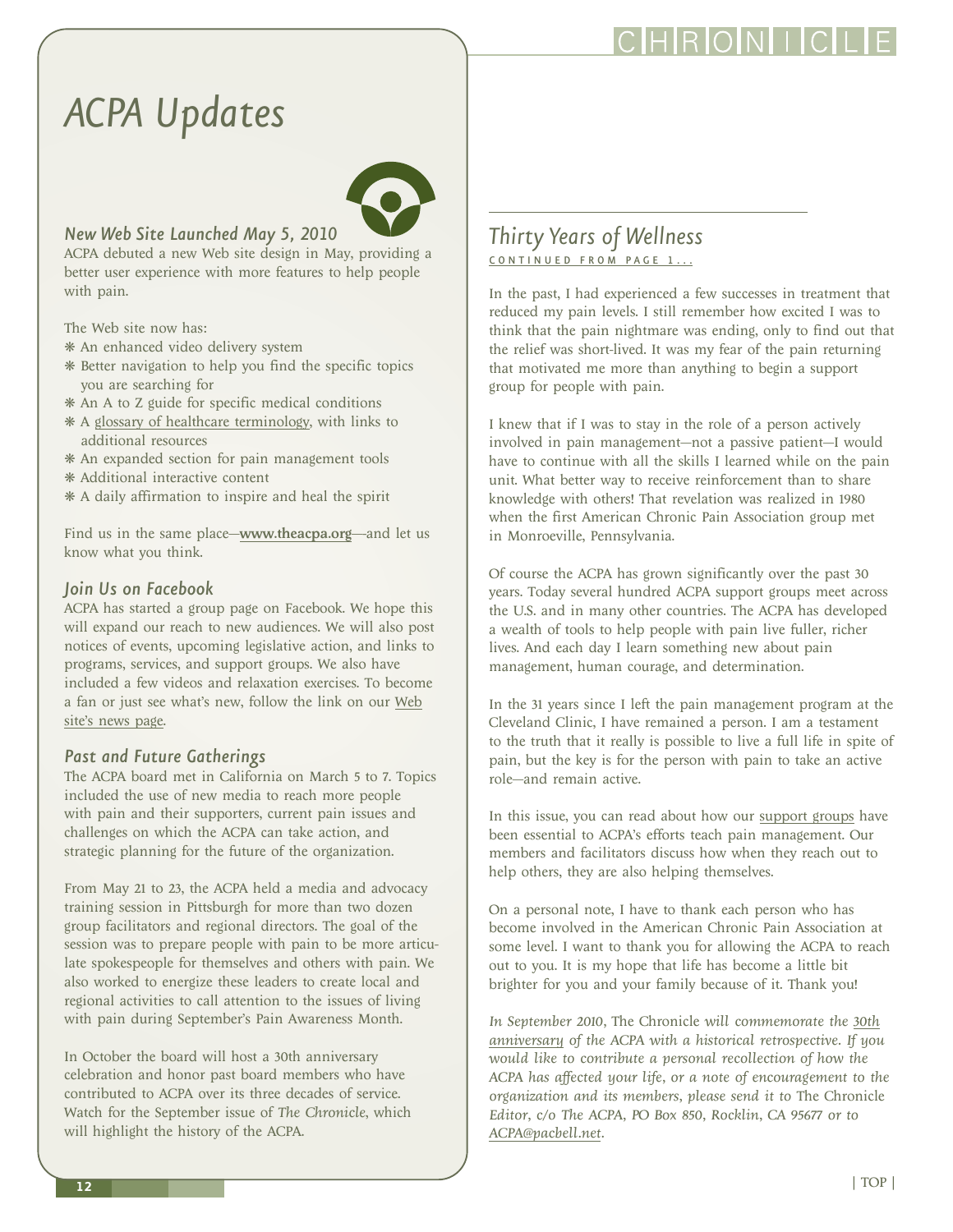### CHRONI

### <span id="page-11-0"></span>*ACPA Updates*



### *New Web Site Launched May 5, 2010*

ACPA debuted a new Web site design in May, providing a better user experience with more features to help people with pain.

The Web site now has:

- ❋ An enhanced video delivery system
- ❋ Better navigation to help you find the specific topics you are searching for
- ❋ An A to Z guide for specific medical conditions
- ❋ A [glossary of healthcare terminology,](http://www.theacpa.org/30/Glossary.aspx) with links to additional resources
- ❋ An expanded section for pain management tools
- ❋ Additional interactive content
- ❋ A daily affirmation to inspire and heal the spirit

Find us in the same place—<www.theacpa.org>—and let us know what you think.

### *Join Us on Facebook*

ACPA has started a group page on Facebook. We hope this will expand our reach to new audiences. We will also post notices of events, upcoming legislative action, and links to programs, services, and support groups. We also have included a few videos and relaxation exercises. To become a fan or just see what's new, follow the link on our [Web](http://www.theacpa.org/newsDetail.aspx?id=6) [site's news page.](http://www.theacpa.org/newsDetail.aspx?id=6)

### *Past and Future Gatherings*

The ACPA board met in California on March 5 to 7. Topics included the use of new media to reach more people with pain and their supporters, current pain issues and challenges on which the ACPA can take action, and strategic planning for the future of the organization.

From May 21 to 23, the ACPA held a media and advocacy training session in Pittsburgh for more than two dozen group facilitators and regional directors. The goal of the session was to prepare people with pain to be more articulate spokespeople for themselves and others with pain. We also worked to energize these leaders to create local and regional activities to call attention to the issues of living with pain during September's Pain Awareness Month.

In October the board will host a 30th anniversary celebration and honor past board members who have contributed to ACPA over its three decades of service. Watch for the September issue of *The Chronicle*, which will highlight the history of the ACPA.

### *Thirty Years of Wellness*  CONTINUED FROM PAGE 1...

In the past, I had experienced a few successes in treatment that reduced my pain levels. I still remember how excited I was to think that the pain nightmare was ending, only to find out that the relief was short-lived. It was my fear of the pain returning that motivated me more than anything to begin a support group for people with pain.

I knew that if I was to stay in the role of a person actively involved in pain management—not a passive patient—I would have to continue with all the skills I learned while on the pain unit. What better way to receive reinforcement than to share knowledge with others! That revelation was realized in 1980 when the first American Chronic Pain Association group met in Monroeville, Pennsylvania.

Of course the ACPA has grown significantly over the past 30 years. Today several hundred ACPA support groups meet across the U.S. and in many other countries. The ACPA has developed a wealth of tools to help people with pain live fuller, richer lives. And each day I learn something new about pain management, human courage, and determination.

In the 31 years since I left the pain management program at the Cleveland Clinic, I have remained a person. I am a testament to the truth that it really is possible to live a full life in spite of pain, but the key is for the person with pain to take an active role—and remain active.

In this issue, you can read about how our [support groups](http://www.theacpa.org/33/SupportGroups.aspx) have been essential to ACPA's efforts teach pain management. Our members and facilitators discuss how when they reach out to help others, they are also helping themselves.

On a personal note, I have to thank each person who has become involved in the American Chronic Pain Association at some level. I want to thank you for allowing the ACPA to reach out to you. It is my hope that life has become a little bit brighter for you and your family because of it. Thank you!

*In September 2010,* The Chronicle *will commemorate the [30th](http://www.theacpa.org/66/ACPA30thAnniversary.aspx) [anniversary](http://www.theacpa.org/66/ACPA30thAnniversary.aspx) of the ACPA with a historical retrospective. If you would like to contribute a personal recollection of how the ACPA has affected your life, or a note of encouragement to the organization and its members, please send it to* The Chronicle *Editor, c/o The ACPA, PO Box 850, Rocklin, CA 95677 or to [ACPA@pacbell.net.](mailto:ACPA@pacbell.net)*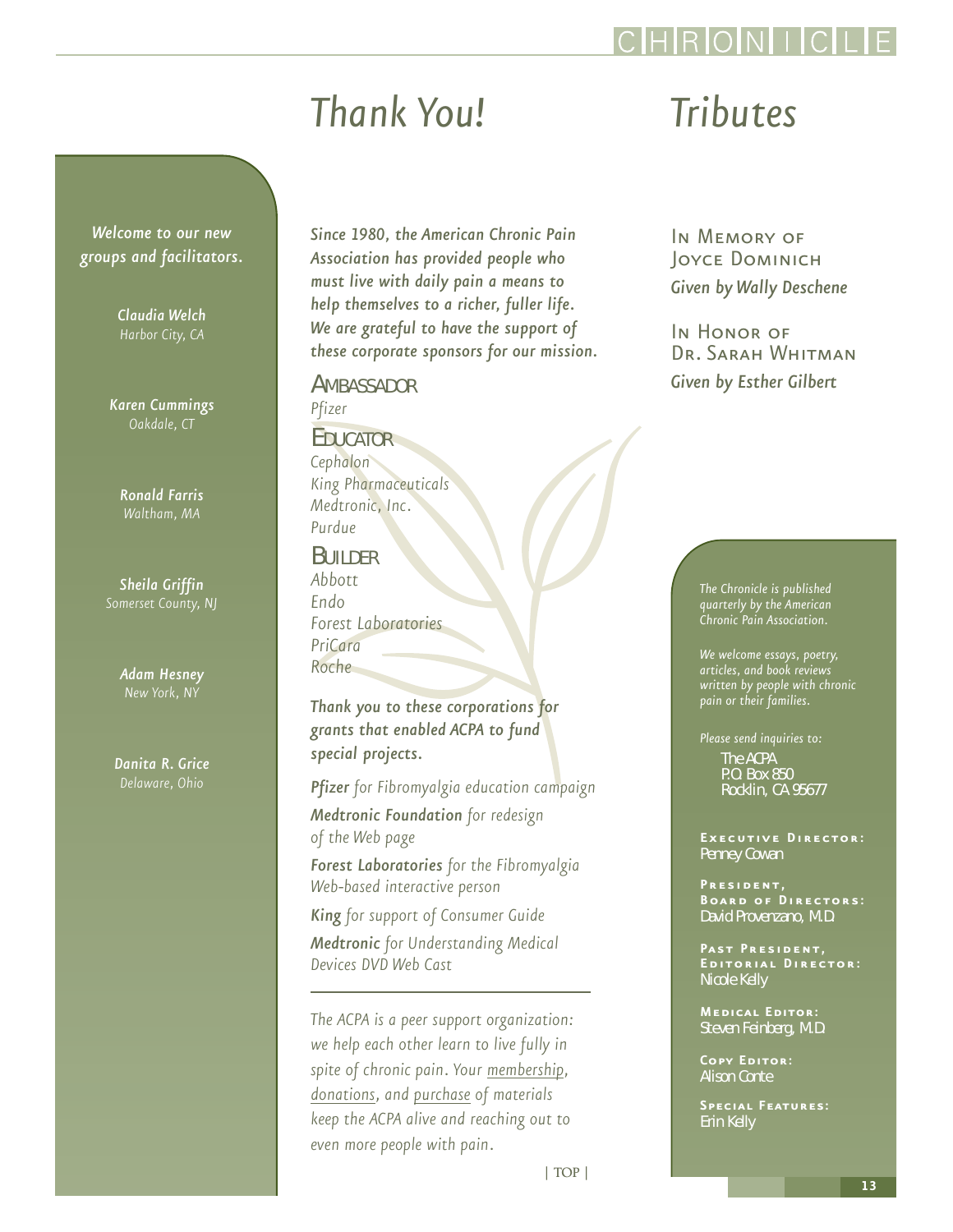## *Thank You!*

<span id="page-12-0"></span>*Welcome to our new groups and facilitators.*

*Claudia Welch*

*Karen Cummings Oakdale, CT*

> *Ronald Farris Waltham, MA*

*Sheila Griffin*

*Adam Hesney*

*Danita R. Grice Delaware, Ohio*

*Since 1980, the American Chronic Pain Association has provided people who must live with daily pain a means to help themselves to a richer, fuller life. We are grateful to have the support of these corporate sponsors for our mission.*

**AMBASSADOR** *Pfizer*

### EDUCATOR

*Cephalon King Pharmaceuticals Medtronic, Inc. Purdue*

BUILDER

*Abbott Endo Forest Laboratories PriCara Roche*

*Thank you to these corporations for grants that enabled ACPA to fund special projects.*

*Pfizer for Fibromyalgia education campaign* 

*Medtronic Foundation for redesign of the Web page*

*Forest Laboratories for the Fibromyalgia Web-based interactive person*

*King for support of Consumer Guide Medtronic for Understanding Medical Devices DVD Web Cast* 

*The ACPA is a peer support organization: we help each other learn to live fully in spite of chronic pain. Your [membership,](http://acpa.stores.yahoo.net/membership.html) [donations,](http://acpa.stores.yahoo.net/donations.html) and [purchase](http://acpa.stores.yahoo.net/) of materials keep the ACPA alive and reaching out to even more people with pain.*

### *Tributes*

In Memory of Joyce Dominich *Given by Wally Deschene*

IN HONOR OF Dr. Sarah Whitman *Given by Esther Gilbert*

> *The Chronicle is published quarterly by the American Chronic Pain Association.*

*We welcome essays, poetry, articles, and book reviews written by people with chronic pain or their families.*

*Please send inquiries to:* The ACPA P.O. Box 850 Rocklin, CA 95677

**Executive Director:** Penney Cowan

**President, Board of Directors:** David Provenzano, M.D.

PAST PRESIDENT, **Editorial Director:** Nicole Kelly

**Medical Editor:** Steven Feinberg, M.D.

**Copy Editor:** Alison Conte

**Special Features:**